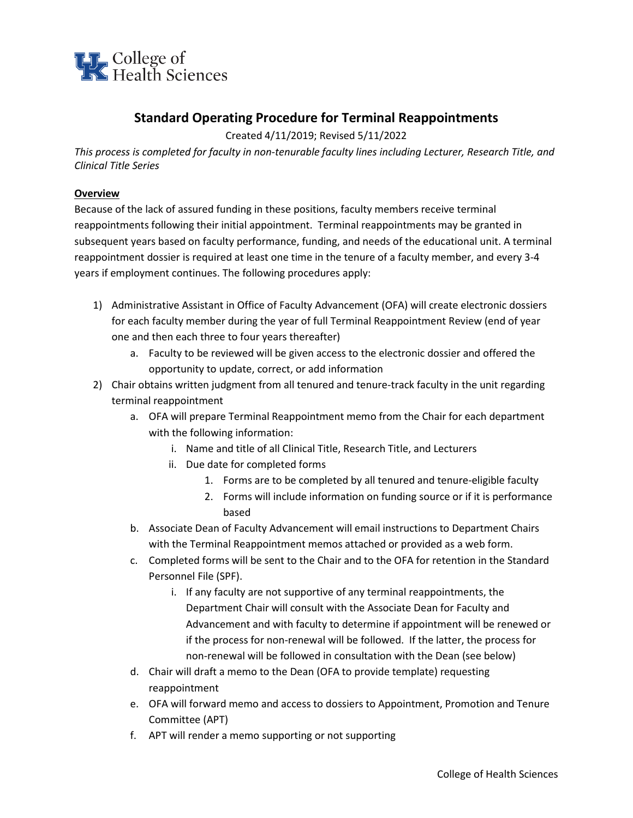

# **Standard Operating Procedure for Terminal Reappointments**

Created 4/11/2019; Revised 5/11/2022

*This process is completed for faculty in non-tenurable faculty lines including Lecturer, Research Title, and Clinical Title Series*

### **Overview**

Because of the lack of assured funding in these positions, faculty members receive terminal reappointments following their initial appointment. Terminal reappointments may be granted in subsequent years based on faculty performance, funding, and needs of the educational unit. A terminal reappointment dossier is required at least one time in the tenure of a faculty member, and every 3-4 years if employment continues. The following procedures apply:

- 1) Administrative Assistant in Office of Faculty Advancement (OFA) will create electronic dossiers for each faculty member during the year of full Terminal Reappointment Review (end of year one and then each three to four years thereafter)
	- a. Faculty to be reviewed will be given access to the electronic dossier and offered the opportunity to update, correct, or add information
- 2) Chair obtains written judgment from all tenured and tenure-track faculty in the unit regarding terminal reappointment
	- a. OFA will prepare Terminal Reappointment memo from the Chair for each department with the following information:
		- i. Name and title of all Clinical Title, Research Title, and Lecturers
		- ii. Due date for completed forms
			- 1. Forms are to be completed by all tenured and tenure-eligible faculty
			- 2. Forms will include information on funding source or if it is performance based
	- b. Associate Dean of Faculty Advancement will email instructions to Department Chairs with the Terminal Reappointment memos attached or provided as a web form.
	- c. Completed forms will be sent to the Chair and to the OFA for retention in the Standard Personnel File (SPF).
		- i. If any faculty are not supportive of any terminal reappointments, the Department Chair will consult with the Associate Dean for Faculty and Advancement and with faculty to determine if appointment will be renewed or if the process for non-renewal will be followed. If the latter, the process for non-renewal will be followed in consultation with the Dean (see below)
	- d. Chair will draft a memo to the Dean (OFA to provide template) requesting reappointment
	- e. OFA will forward memo and access to dossiers to Appointment, Promotion and Tenure Committee (APT)
	- f. APT will render a memo supporting or not supporting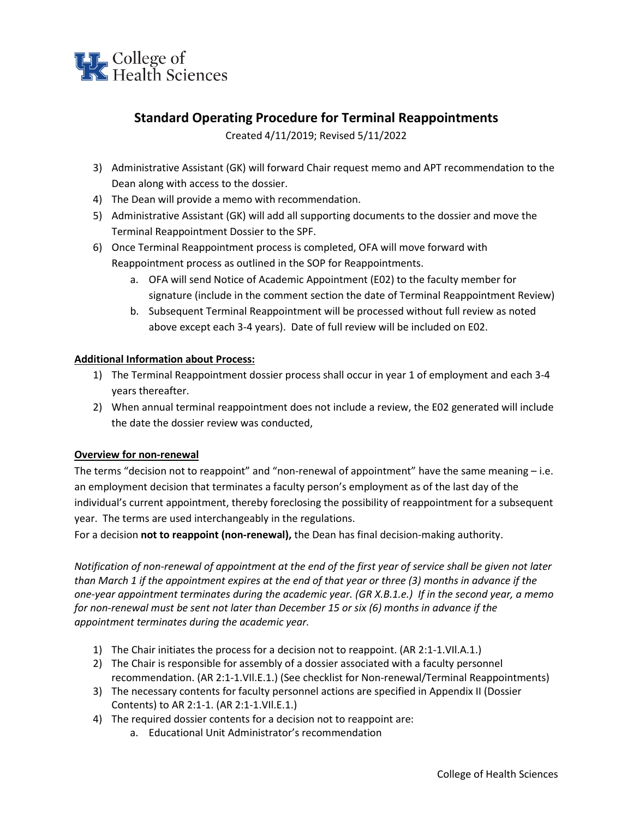

## **Standard Operating Procedure for Terminal Reappointments**

Created 4/11/2019; Revised 5/11/2022

- 3) Administrative Assistant (GK) will forward Chair request memo and APT recommendation to the Dean along with access to the dossier.
- 4) The Dean will provide a memo with recommendation.
- 5) Administrative Assistant (GK) will add all supporting documents to the dossier and move the Terminal Reappointment Dossier to the SPF.
- 6) Once Terminal Reappointment process is completed, OFA will move forward with Reappointment process as outlined in the SOP for Reappointments.
	- a. OFA will send Notice of Academic Appointment (E02) to the faculty member for signature (include in the comment section the date of Terminal Reappointment Review)
	- b. Subsequent Terminal Reappointment will be processed without full review as noted above except each 3-4 years). Date of full review will be included on E02.

#### **Additional Information about Process:**

- 1) The Terminal Reappointment dossier process shall occur in year 1 of employment and each 3-4 years thereafter.
- 2) When annual terminal reappointment does not include a review, the E02 generated will include the date the dossier review was conducted,

#### **Overview for non-renewal**

The terms "decision not to reappoint" and "non-renewal of appointment" have the same meaning – i.e. an employment decision that terminates a faculty person's employment as of the last day of the individual's current appointment, thereby foreclosing the possibility of reappointment for a subsequent year. The terms are used interchangeably in the regulations.

For a decision **not to reappoint (non-renewal),** the Dean has final decision-making authority.

*Notification of non-renewal of appointment at the end of the first year of service shall be given not later than March 1 if the appointment expires at the end of that year or three (3) months in advance if the one-year appointment terminates during the academic year. (GR X.B.1.e.) If in the second year, a memo for non-renewal must be sent not later than December 15 or six (6) months in advance if the appointment terminates during the academic year.* 

- 1) The Chair initiates the process for a decision not to reappoint. (AR 2:1-1.VIl.A.1.)
- 2) The Chair is responsible for assembly of a dossier associated with a faculty personnel recommendation. (AR 2:1-1.VIl.E.1.) (See checklist for Non-renewal/Terminal Reappointments)
- 3) The necessary contents for faculty personnel actions are specified in Appendix II (Dossier Contents) to AR 2:1-1. (AR 2:1-1.VIl.E.1.)
- 4) The required dossier contents for a decision not to reappoint are:
	- a. Educational Unit Administrator's recommendation